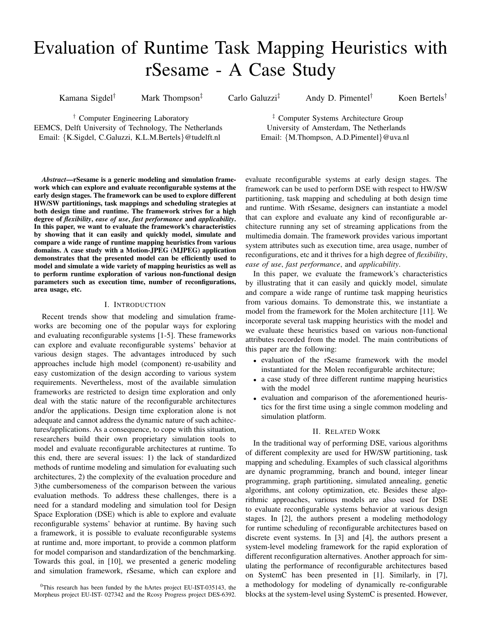# Evaluation of Runtime Task Mapping Heuristics with rSesame - A Case Study

Kamana Sigdel† Mark Thompson‡ Carlo Galuzzi‡ Andy D. Pimentel† Koen Bertels†

† Computer Engineering Laboratory

EEMCS, Delft University of Technology, The Netherlands Email: {K.Sigdel, C.Galuzzi, K.L.M.Bertels}@tudelft.nl

‡ Computer Systems Architecture Group University of Amsterdam, The Netherlands Email: {M.Thompson, A.D.Pimentel}@uva.nl

*Abstract*—rSesame is a generic modeling and simulation framework which can explore and evaluate reconfigurable systems at the early design stages. The framework can be used to explore different HW/SW partitionings, task mappings and scheduling strategies at both design time and runtime. The framework strives for a high degree of *flexibility*, *ease of use*, *fast performance* and *applicability*. In this paper, we want to evaluate the framework's characteristics by showing that it can easily and quickly model, simulate and compare a wide range of runtime mapping heuristics from various domains. A case study with a Motion-JPEG (MJPEG) application demonstrates that the presented model can be efficiently used to model and simulate a wide variety of mapping heuristics as well as to perform runtime exploration of various non-functional design parameters such as execution time, number of reconfigurations, area usage, etc.

### I. INTRODUCTION

Recent trends show that modeling and simulation frameworks are becoming one of the popular ways for exploring and evaluating reconfigurable systems [1-5]. These frameworks can explore and evaluate reconfigurable systems' behavior at various design stages. The advantages introduced by such approaches include high model (component) re-usability and easy customization of the design according to various system requirements. Nevertheless, most of the available simulation frameworks are restricted to design time exploration and only deal with the static nature of the reconfigurable architectures and/or the applications. Design time exploration alone is not adequate and cannot address the dynamic nature of such achitectures/applications. As a consequence, to cope with this situation, researchers build their own proprietary simulation tools to model and evaluate reconfigurable architectures at runtime. To this end, there are several issues: 1) the lack of standardized methods of runtime modeling and simulation for evaluating such architectures, 2) the complexity of the evaluation procedure and 3)the cumbersomeness of the comparison between the various evaluation methods. To address these challenges, there is a need for a standard modeling and simulation tool for Design Space Exploration (DSE) which is able to explore and evaluate reconfigurable systems' behavior at runtime. By having such a framework, it is possible to evaluate reconfigurable systems at runtime and, more important, to provide a common platform for model comparison and standardization of the benchmarking. Towards this goal, in [10], we presented a generic modeling and simulation framework, rSesame, which can explore and

evaluate reconfigurable systems at early design stages. The framework can be used to perform DSE with respect to HW/SW partitioning, task mapping and scheduling at both design time and runtime. With rSesame, designers can instantiate a model that can explore and evaluate any kind of reconfigurable architecture running any set of streaming applications from the multimedia domain. The framework provides various important system attributes such as execution time, area usage, number of reconfigurations, etc and it thrives for a high degree of *flexibility*, *ease of use*, *fast performance*, and *applicability*.

In this paper, we evaluate the framework's characteristics by illustrating that it can easily and quickly model, simulate and compare a wide range of runtime task mapping heuristics from various domains. To demonstrate this, we instantiate a model from the framework for the Molen architecture [11]. We incorporate several task mapping heuristics with the model and we evaluate these heuristics based on various non-functional attributes recorded from the model. The main contributions of this paper are the following:

- evaluation of the rSesame framework with the model instantiated for the Molen reconfigurable architecture;
- a case study of three different runtime mapping heuristics with the model
- evaluation and comparison of the aforementioned heuristics for the first time using a single common modeling and simulation platform.

## II. RELATED WORK

In the traditional way of performing DSE, various algorithms of different complexity are used for HW/SW partitioning, task mapping and scheduling. Examples of such classical algorithms are dynamic programming, branch and bound, integer linear programming, graph partitioning, simulated annealing, genetic algorithms, ant colony optimization, etc. Besides these algorithmic approaches, various models are also used for DSE to evaluate reconfigurable systems behavior at various design stages. In [2], the authors present a modeling methodology for runtime scheduling of reconfigurable architectures based on discrete event systems. In [3] and [4], the authors present a system-level modeling framework for the rapid exploration of different reconfiguration alternatives. Another approach for simulating the performance of reconfigurable architectures based on SystemC has been presented in [1]. Similarly, in [7], a methodology for modeling of dynamically re-configurable blocks at the system-level using SystemC is presented. However,

<sup>0</sup>This research has been funded by the hArtes project EU-IST-035143, the Morpheus project EU-IST- 027342 and the Rcosy Progress project DES-6392.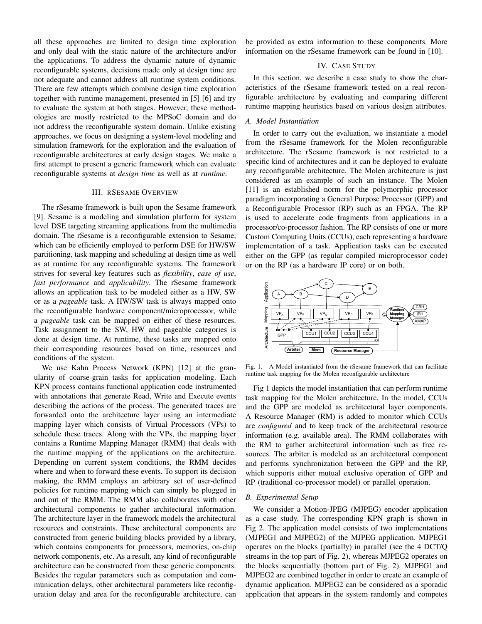all these approaches are limited to design time exploration and only deal with the static nature of the architecture and/or the applications. To address the dynamic nature of dynamic reconfigurable systems, decisions made only at design time are not adequate and cannot address all runtime system conditions. There are few attempts which combine design time exploration together with runtime management, presented in [5] [6] and try to evaluate the system at both stages. However, these methodologies are mostly restricted to the MPSoC domain and do not address the reconfigurable system domain. Unlike existing approaches, we focus on designing a system-level modeling and simulation framework for the exploration and the evaluation of reconfigurable architectures at early design stages. We make a first attempt to present a generic framework which can evaluate reconfigurable systems at *design time* as well as at *runtime*.

#### III. RSESAME OVERVIEW

The rSesame framework is built upon the Sesame framework [9]. Sesame is a modeling and simulation platform for system level DSE targeting streaming applications from the multimedia domain. The rSesame is a reconfigurable extension to Sesame, which can be efficiently employed to perform DSE for HW/SW partitioning, task mapping and scheduling at design time as well as at runtime for any reconfigurable systems. The framework strives for several key features such as *flexibility*, *ease of use*, *fast performance* and *applicability*. The rSesame framework allows an application task to be modeled either as a HW, SW or as a *pageable* task. A HW/SW task is always mapped onto the reconfigurable hardware component/microprocessor, while a *pageable* task can be mapped on either of these resources. Task assignment to the SW, HW and pageable categories is done at design time. At runtime, these tasks are mapped onto their corresponding resources based on time, resources and conditions of the system.

We use Kahn Process Network (KPN) [12] at the granularity of coarse-grain tasks for application modeling. Each KPN process contains functional application code instrumented with annotations that generate Read, Write and Execute events describing the actions of the process. The generated traces are forwarded onto the architecture layer using an intermediate mapping layer which consists of Virtual Processors (VPs) to schedule these traces. Along with the VPs, the mapping layer contains a Runtime Mapping Manager (RMM) that deals with the runtime mapping of the applications on the architecture. Depending on current system conditions, the RMM decides where and when to forward these events. To support its decision making, the RMM employs an arbitrary set of user-defined policies for runtime mapping which can simply be plugged in and out of the RMM. The RMM also collaborates with other architectural components to gather architectural information. The architecture layer in the framework models the architectural resources and constraints. These architectural components are constructed from generic building blocks provided by a library, which contains components for processors, memories, on-chip network components, etc. As a result, any kind of reconfigurable architecture can be constructed from these generic components. Besides the regular parameters such as computation and communication delays, other architectural parameters like reconfiguration delay and area for the reconfigurable architecture, can

be provided as extra information to these components. More information on the rSesame framework can be found in [10].

## IV. CASE STUDY

In this section, we describe a case study to show the characteristics of the rSesame framework tested on a real reconfigurable architecture by evaluating and comparing different runtime mapping heuristics based on various design attributes.

## *A. Model Instantiation*

In order to carry out the evaluation, we instantiate a model from the rSesame framework for the Molen reconfigurable architecture. The rSesame framework is not restricted to a specific kind of architectures and it can be deployed to evaluate any reconfigurable architecture. The Molen architecture is just considered as an example of such an instance. The Molen [11] is an established norm for the polymorphic processor paradigm incorporating a General Purpose Processor (GPP) and a Reconfigurable Processor (RP) such as an FPGA. The RP is used to accelerate code fragments from applications in a processor/co-processor fashion. The RP consists of one or more Custom Computing Units (CCUs), each representing a hardware implementation of a task. Application tasks can be executed either on the GPP (as regular compiled microprocessor code) or on the RP (as a hardware IP core) or on both.



Fig. 1. A Model instantiated from the rSesame framework that can facilitate runtime task mapping for the Molen reconfigurable architecture

Fig 1 depicts the model instantiation that can perform runtime task mapping for the Molen architecture. In the model, CCUs and the GPP are modeled as architectural layer components. A Resource Manager (RM) is added to monitor which CCUs are *configured* and to keep track of the architectural resource information (e.g. available area). The RMM collaborates with the RM to gather architectural information such as free resources. The arbiter is modeled as an architectural component and performs synchronization between the GPP and the RP, which supports either mutual exclusive operation of GPP and RP (traditional co-processor model) or parallel operation.

## *B. Experimental Setup*

We consider a Motion-JPEG (MJPEG) encoder application as a case study. The corresponding KPN graph is shown in Fig 2. The application model consists of two implementations (MJPEG1 and MJPEG2) of the MJPEG application. MJPEG1 operates on the blocks (partially) in parallel (see the 4 DCT/Q streams in the top part of Fig. 2), whereas MJPEG2 operates on the blocks sequentially (bottom part of Fig. 2). MJPEG1 and MJPEG2 are combined together in order to create an example of dynamic application. MJPEG2 can be considered as a sporadic application that appears in the system randomly and competes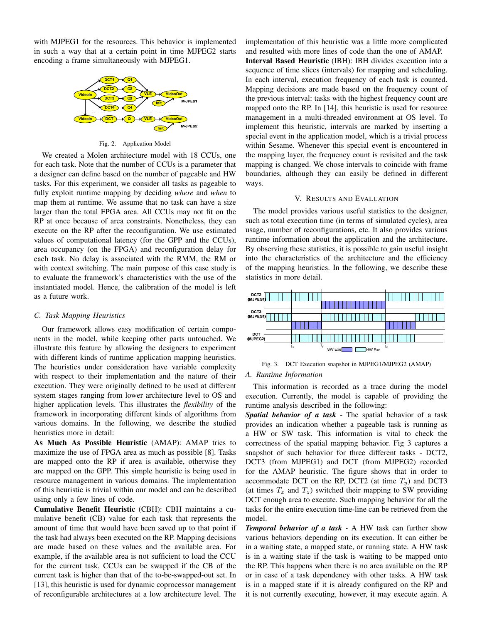with MJPEG1 for the resources. This behavior is implemented in such a way that at a certain point in time MJPEG2 starts encoding a frame simultaneously with MJPEG1.



Fig. 2. Application Model

We created a Molen architecture model with 18 CCUs, one for each task. Note that the number of CCUs is a parameter that a designer can define based on the number of pageable and HW tasks. For this experiment, we consider all tasks as pageable to fully exploit runtime mapping by deciding *where* and *when* to map them at runtime. We assume that no task can have a size larger than the total FPGA area. All CCUs may not fit on the RP at once because of area constraints. Nonetheless, they can execute on the RP after the reconfiguration. We use estimated values of computational latency (for the GPP and the CCUs), area occupancy (on the FPGA) and reconfiguration delay for each task. No delay is associated with the RMM, the RM or with context switching. The main purpose of this case study is to evaluate the framework's characteristics with the use of the instantiated model. Hence, the calibration of the model is left as a future work.

### *C. Task Mapping Heuristics*

Our framework allows easy modification of certain components in the model, while keeping other parts untouched. We illustrate this feature by allowing the designers to experiment with different kinds of runtime application mapping heuristics. The heuristics under consideration have variable complexity with respect to their implementation and the nature of their execution. They were originally defined to be used at different system stages ranging from lower architecture level to OS and higher application levels. This illustrates the *flexibility* of the framework in incorporating different kinds of algorithms from various domains. In the following, we describe the studied heuristics more in detail:

As Much As Possible Heuristic (AMAP): AMAP tries to maximize the use of FPGA area as much as possible [8]. Tasks are mapped onto the RP if area is available, otherwise they are mapped on the GPP. This simple heuristic is being used in resource management in various domains. The implementation of this heuristic is trivial within our model and can be described using only a few lines of code.

Cumulative Benefit Heuristic (CBH): CBH maintains a cumulative benefit (CB) value for each task that represents the amount of time that would have been saved up to that point if the task had always been executed on the RP. Mapping decisions are made based on these values and the available area. For example, if the available area is not sufficient to load the CCU for the current task, CCUs can be swapped if the CB of the current task is higher than that of the to-be-swapped-out set. In [13], this heuristic is used for dynamic coprocessor management of reconfigurable architectures at a low architecture level. The implementation of this heuristic was a little more complicated and resulted with more lines of code than the one of AMAP. Interval Based Heuristic (IBH): IBH divides execution into a sequence of time slices (intervals) for mapping and scheduling. In each interval, execution frequency of each task is counted. Mapping decisions are made based on the frequency count of the previous interval: tasks with the highest frequency count are mapped onto the RP. In [14], this heuristic is used for resource management in a multi-threaded environment at OS level. To implement this heuristic, intervals are marked by inserting a special event in the application model, which is a trivial process within Sesame. Whenever this special event is encountered in the mapping layer, the frequency count is revisited and the task mapping is changed. We chose intervals to coincide with frame boundaries, although they can easily be defined in different ways.

#### V. RESULTS AND EVALUATION

The model provides various useful statistics to the designer, such as total execution time (in terms of simulated cycles), area usage, number of reconfigurations, etc. It also provides various runtime information about the application and the architecture. By observing these statistics, it is possible to gain useful insight into the characteristics of the architecture and the efficiency of the mapping heuristics. In the following, we describe these statistics in more detail.



Fig. 3. DCT Execution snapshot in MJPEG1/MJPEG2 (AMAP) *A. Runtime Information*

This information is recorded as a trace during the model execution. Currently, the model is capable of providing the runtime analysis described in the following:

*Spatial behavior of a task* - The spatial behavior of a task provides an indication whether a pageable task is running as a HW or SW task. This information is vital to check the correctness of the spatial mapping behavior. Fig 3 captures a snapshot of such behavior for three different tasks - DCT2, DCT3 (from MJPEG1) and DCT (from MJPEG2) recorded for the AMAP heuristic. The figure shows that in order to accommodate DCT on the RP, DCT2 (at time  $T_y$ ) and DCT3 (at times  $T_x$  and  $T_z$ ) switched their mapping to SW providing DCT enough area to execute. Such mapping behavior for all the tasks for the entire execution time-line can be retrieved from the model.

*Temporal behavior of a task* - A HW task can further show various behaviors depending on its execution. It can either be in a waiting state, a mapped state, or running state. A HW task is in a waiting state if the task is waiting to be mapped onto the RP. This happens when there is no area available on the RP or in case of a task dependency with other tasks. A HW task is in a mapped state if it is already configured on the RP and it is not currently executing, however, it may execute again. A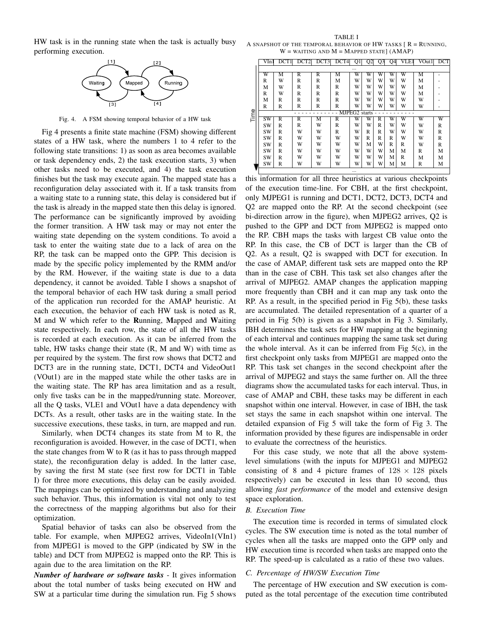HW task is in the running state when the task is actually busy performing execution.



Fig. 4. A FSM showing temporal behavior of a HW task

Fig 4 presents a finite state machine (FSM) showing different states of a HW task, where the numbers 1 to 4 refer to the following state transitions: 1) as soon as area becomes available or task dependency ends, 2) the task execution starts, 3) when other tasks need to be executed, and 4) the task execution finishes but the task may execute again. The mapped state has a reconfiguration delay associated with it. If a task transits from a waiting state to a running state, this delay is considered but if the task is already in the mapped state then this delay is ignored. The performance can be significantly improved by avoiding the former transition. A HW task may or may not enter the waiting state depending on the system conditions. To avoid a task to enter the waiting state due to a lack of area on the RP, the task can be mapped onto the GPP. This decision is made by the specific policy implemented by the RMM and/or by the RM. However, if the waiting state is due to a data dependency, it cannot be avoided. Table I shows a snapshot of the temporal behavior of each HW task during a small period of the application run recorded for the AMAP heuristic. At each execution, the behavior of each HW task is noted as R, M and W which refer to the Running, Mapped and Waiting state respectively. In each row, the state of all the HW tasks is recorded at each execution. As it can be inferred from the table, HW tasks change their state  $(R, M, and W)$  with time as per required by the system. The first row shows that DCT2 and DCT3 are in the running state, DCT1, DCT4 and VideoOut1 (VOut1) are in the mapped state while the other tasks are in the waiting state. The RP has area limitation and as a result, only five tasks can be in the mapped/running state. Moreover, all the Q tasks, VLE1 and VOut1 have a data dependency with DCTs. As a result, other tasks are in the waiting state. In the successive executions, these tasks, in turn, are mapped and run.

Similarly, when DCT4 changes its state from M to R, the reconfiguration is avoided. However, in the case of DCT1, when the state changes from W to R (as it has to pass through mapped state), the reconfiguration delay is added. In the latter case, by saving the first M state (see first row for DCT1 in Table I) for three more executions, this delay can be easily avoided. The mappings can be optimized by understanding and analyzing such behavior. Thus, this information is vital not only to test the correctness of the mapping algorithms but also for their optimization.

Spatial behavior of tasks can also be observed from the table. For example, when MJPEG2 arrives, VideoIn1(VIn1) from MJPEG1 is moved to the GPP (indicated by SW in the table) and DCT from MJPEG2 is mapped onto the RP. This is again due to the area limitation on the RP.

*Number of hardware or software tasks* - It gives information about the total number of tasks being executed on HW and SW at a particular time during the simulation run. Fig 5 shows

TABLE I A SNAPSHOT OF THE TEMPORAL BEHAVIOR OF HW TASKS  $R = RUNNING$ ,  $W =$  WAITING AND  $M =$  Mapped state]  $(AMAP)$ 

|      | VIn 1     | DCT1                    | DCT <sub>2</sub>        | DCT3 | DCT4 | Q1                        | Q <sub>2</sub> | Q <sub>3</sub> | Q4 | VLE1 | VOut 11 | <b>DCT</b> |
|------|-----------|-------------------------|-------------------------|------|------|---------------------------|----------------|----------------|----|------|---------|------------|
|      |           |                         |                         |      |      |                           |                |                |    |      |         |            |
|      | W         | М                       | R                       | R    | М    | W                         | W              | W              | W  | W    | M       |            |
|      | R         | W                       | R                       | R    | М    | W                         | W              | w              | W  | W    | М       |            |
|      | М         | W                       | R                       | R    | R    | W                         | W              | W              | W  | W    | М       |            |
|      | R         | W                       | R                       | R    | R    | W                         | W              | W              | W  | W    | М       |            |
|      | М         | R                       | R                       | R    | R    | w                         | W              | w              | W  | W    | W       |            |
|      | R         | R                       | R                       | R    | R    | W                         | w              | W              | W  | W    | W       |            |
| Time |           |                         |                         |      |      | MJPEG <sub>2</sub> starts |                |                |    |      |         |            |
|      | SW        | $\overline{\mathsf{R}}$ | $\overline{\mathbf{R}}$ | М    | R    | W                         | w              | R              | W  | W    | W       | W          |
|      | SW        | R                       | R                       | w    | R    | W                         | W              | R              | W  | W    | w       | R          |
|      | SW        | R                       | W                       | W    | R    | W                         | R              | R              | W  | W    | W       | R          |
|      | SW        | R                       | W                       | W    | W    | W                         | R              | R              | R  | W    | W       | R          |
|      | SW        | R                       | w                       | W    | W    | w                         | M              | w              | R  | R    | W       | R          |
|      | SW        | R                       | w                       | W    | W    | w                         | W              | w              | M  | M    | R       | М          |
|      | SW        | R                       | w                       | w    | W    | W                         | W              | w              | М  | R    | М       | М          |
|      | <b>SW</b> | R                       | W                       | W    | W    | W                         | W              | W              | M  | М    | R       | М          |
|      | $\cdots$  |                         |                         |      |      |                           |                |                |    |      |         |            |

this information for all three heuristics at various checkpoints of the execution time-line. For CBH, at the first checkpoint, only MJPEG1 is running and DCT1, DCT2, DCT3, DCT4 and Q2 are mapped onto the RP. At the second checkpoint (see bi-direction arrow in the figure), when MJPEG2 arrives, Q2 is pushed to the GPP and DCT from MJPEG2 is mapped onto the RP. CBH maps the tasks with largest CB value onto the RP. In this case, the CB of DCT is larger than the CB of Q2. As a result, Q2 is swapped with DCT for execution. In the case of AMAP, different task sets are mapped onto the RP than in the case of CBH. This task set also changes after the arrival of MJPEG2. AMAP changes the application mapping more frequently than CBH and it can map any task onto the RP. As a result, in the specified period in Fig 5(b), these tasks are accumulated. The detailed representation of a quarter of a period in Fig 5(b) is given as a snapshot in Fig 3. Similarly, IBH determines the task sets for HW mapping at the beginning of each interval and continues mapping the same task set during the whole interval. As it can be inferred from Fig  $5(c)$ , in the first checkpoint only tasks from MJPEG1 are mapped onto the RP. This task set changes in the second checkpoint after the arrival of MJPEG2 and stays the same further on. All the three diagrams show the accumulated tasks for each interval. Thus, in case of AMAP and CBH, these tasks may be different in each snapshot within one interval. However, in case of IBH, the task set stays the same in each snapshot within one interval. The detailed expansion of Fig 5 will take the form of Fig 3. The information provided by these figures are indispensable in order to evaluate the correctness of the heuristics.

For this case study, we note that all the above systemlevel simulations (with the inputs for MJPEG1 and MJPEG2 consisting of 8 and 4 picture frames of  $128 \times 128$  pixels respectively) can be executed in less than 10 second, thus allowing *fast performance* of the model and extensive design space exploration.

#### *B. Execution Time*

The execution time is recorded in terms of simulated clock cycles. The SW execution time is noted as the total number of cycles when all the tasks are mapped onto the GPP only and HW execution time is recorded when tasks are mapped onto the RP. The speed-up is calculated as a ratio of these two values.

## *C. Percentage of HW/SW Execution Time*

The percentage of HW execution and SW execution is computed as the total percentage of the execution time contributed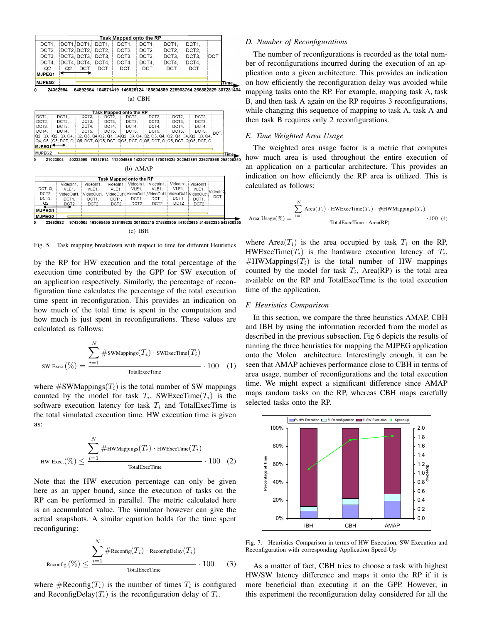|                           |                           |                                                                                                                                                                                                                   |                           | Task Mapped onto the RP                                                 |                     |                  |                           |          |      |
|---------------------------|---------------------------|-------------------------------------------------------------------------------------------------------------------------------------------------------------------------------------------------------------------|---------------------------|-------------------------------------------------------------------------|---------------------|------------------|---------------------------|----------|------|
| DCT1.                     |                           | DCT1, DCT1,                                                                                                                                                                                                       | DCT1.                     | DCT1.                                                                   | DCT1.               | DCT1.            | DCT1,                     |          |      |
| DCT <sub>2</sub>          |                           | DCT2. DCT2.                                                                                                                                                                                                       | DCT <sub>2</sub>          | DCT2.                                                                   | DCT2.               | DCT2.            | DCT2.                     |          |      |
| DCT3,                     |                           | DCT3. DCT3.                                                                                                                                                                                                       | DCT3.                     | DCT3.                                                                   | DCT3.               | DCT3.            | DCT3.                     | DCT      |      |
| DCT4,                     |                           | DCT4, DCT4,                                                                                                                                                                                                       | DCT4.                     | DCT4.                                                                   | DCT4.               | DCT4.            | DCT4.                     |          |      |
| Q <sub>2</sub>            | Q <sub>2</sub>            | DCT                                                                                                                                                                                                               | DCT                       | <b>DCT</b>                                                              | <b>DCT</b>          | <b>DCT</b>       | DCT                       |          |      |
| MJPEG1                    |                           |                                                                                                                                                                                                                   |                           |                                                                         |                     |                  |                           |          |      |
| MJPEG2                    |                           |                                                                                                                                                                                                                   |                           |                                                                         |                     |                  |                           |          | Time |
| n                         | 24352954                  | 64892654 104871419 146526124 186504889 226903764 266882529 307281404                                                                                                                                              |                           |                                                                         |                     |                  |                           |          |      |
|                           |                           |                                                                                                                                                                                                                   |                           |                                                                         |                     |                  |                           |          |      |
|                           |                           |                                                                                                                                                                                                                   |                           | $(a)$ CBH                                                               |                     |                  |                           |          |      |
|                           |                           |                                                                                                                                                                                                                   |                           |                                                                         |                     |                  |                           |          |      |
| DCT1.                     | DCT1.                     | DCT <sub>2</sub>                                                                                                                                                                                                  |                           | Task Mapped onto the RP                                                 | DCT <sub>2</sub>    | DCT <sub>2</sub> | DCT <sub>2</sub>          |          |      |
| DCT <sub>2</sub>          | DCT2.                     | DCT3.                                                                                                                                                                                                             | DCT <sub>2</sub><br>DCT3. | DCT <sub>2</sub><br>DCT3.                                               | DCT3.               | DCT3.            | DCT3.                     |          |      |
| DCT3.<br>DCT3.            |                           | DCT4.                                                                                                                                                                                                             | DCT4.                     | DCT4.                                                                   | DCT4.               | DCT4.            | DCT4.                     |          |      |
| DCT4.<br>DCT4.            |                           | DCT5.                                                                                                                                                                                                             | DCT5.                     | DCT5.                                                                   | DCT5.               | DCT5.            | DCT5.                     | DCT.     |      |
| Q2, Q3,                   | Q2, Q3, Q4,               |                                                                                                                                                                                                                   |                           | Q2, Q3, Q4, Q2, Q3, Q4, Q2, Q3, Q4, Q2, Q3, Q4, Q2, Q3, Q4, Q2, Q3, Q4, |                     |                  |                           |          |      |
| Q4, Q5                    |                           | $[{\bf Q5},{\bf DCT},{\bf Q}]$ $[{\bf Q5},{\bf DCT},{\bf Q}]$ ${\bf Q5},{\bf DCT},{\bf Q}$ ${\bf Q5},{\bf DCT},{\bf Q}]$ ${\bf Q5},{\bf DCT},{\bf Q}$ $[{\bf Q5},{\bf DCT},{\bf Q}]$ ${\bf Q5},{\bf DCT},{\bf Q}$ |                           |                                                                         |                     |                  |                           |          |      |
| MJPEG1 <sup>+</sup>       |                           |                                                                                                                                                                                                                   |                           |                                                                         |                     |                  |                           |          |      |
| MJPEG2                    |                           |                                                                                                                                                                                                                   |                           |                                                                         |                     |                  |                           |          | Time |
| 0                         | 21023003                  | 50233590                                                                                                                                                                                                          |                           | 79237914 112004986 142307136 175019325 202942891 236278868 298006350    |                     |                  |                           |          |      |
|                           |                           |                                                                                                                                                                                                                   |                           |                                                                         |                     |                  |                           |          |      |
|                           |                           |                                                                                                                                                                                                                   |                           | $(b)$ AMAP                                                              |                     |                  |                           |          |      |
|                           |                           |                                                                                                                                                                                                                   |                           | Task Mapped onto the RP                                                 |                     |                  |                           |          |      |
|                           | VideoIn1,                 | VideoIn1.                                                                                                                                                                                                         | VideoIn1.                 |                                                                         | VideoIn1. VideoIn1. | VideoIn1,        | VideoIn1.                 |          |      |
| DCT, Q.                   | VLE1.                     | VLE1.                                                                                                                                                                                                             | VLE1.                     | VLE1.                                                                   | VLE1.               | VLE1.            | VLE1.                     | VideoIn2 |      |
| DCT <sub>2</sub><br>DCT3. | VideoOut1.                | VideoOut1.                                                                                                                                                                                                        |                           | VideoOut1 VideoOut1 VideoOut1, VideoOut1 VideoOut1<br>DCT1.             | DCT1.               | DCT1.            |                           | DCT      |      |
| O2                        | DCT1.<br>DCT <sub>2</sub> | DCT1.<br>DCT <sub>2</sub>                                                                                                                                                                                         | DCT1.<br>DCT <sub>2</sub> | DCT <sub>2</sub>                                                        | DCT <sub>2</sub>    | DCT <sub>2</sub> | DCT1.<br>DCT <sub>2</sub> |          |      |
|                           |                           |                                                                                                                                                                                                                   |                           |                                                                         |                     |                  |                           |          |      |
|                           |                           |                                                                                                                                                                                                                   |                           |                                                                         |                     |                  |                           |          |      |
| <b>MJPEG1</b><br>MJPEG2   |                           |                                                                                                                                                                                                                   |                           |                                                                         |                     |                  |                           |          |      |

(c) IBH

Fig. 5. Task mapping breakdown with respect to time for different Heuristics

by the RP for HW execution and the total percentage of the execution time contributed by the GPP for SW execution of an application respectively. Similarly, the percentage of reconfiguration time calculates the percentage of the total execution time spent in reconfiguration. This provides an indication on how much of the total time is spent in the computation and how much is just spent in reconfigurations. These values are calculated as follows:

$$
SW\text{ exec.}(\%) = \frac{\sum_{i=1}^{N} #SWMappings(T_i) \cdot SWExceptione(T_i)}{\text{TotalExecTime}} \cdot 100 \quad (1)
$$

where  $\#\text{SWMappings}(T_i)$  is the total number of SW mappings counted by the model for task  $T_i$ , SWExecTime( $T_i$ ) is the software execution latency for task  $T_i$  and TotalExecTime is the total simulated execution time. HW execution time is given as:

$$
HW\text{ Excel.}(\%) \leq \frac{\sum_{i=1}^{N} \#HW\text{Mappings}(T_i) \cdot HW\text{ExecTime}(T_i)}{\text{TotalExecTime}} \cdot 100 \quad (2)
$$

Note that the HW execution percentage can only be given here as an upper bound, since the execution of tasks on the RP can be performed in parallel. The metric calculated here is an accumulated value. The simulator however can give the actual snapshots. A similar equation holds for the time spent reconfiguring:

$$
\text{Reconfig.}(\%) \leq \frac{\sum_{i=1}^{N} \# \text{Reconfig}(T_i) \cdot \text{ReconfigDelay}(T_i)}{\text{TotalExecTime}} \cdot 100 \qquad (3)
$$

where  $\#\text{Reconfig}(T_i)$  is the number of times  $T_i$  is configured and ReconfigDelay $(T_i)$  is the reconfiguration delay of  $T_i$ .

### *D. Number of Reconfigurations*

The number of reconfigurations is recorded as the total number of reconfigurations incurred during the execution of an application onto a given architecture. This provides an indication on how efficiently the reconfiguration delay was avoided while mapping tasks onto the RP. For example, mapping task A, task B, and then task A again on the RP requires 3 reconfigurations, while changing this sequence of mapping to task A, task A and then task B requires only 2 reconfigurations.

## *E. Time Weighted Area Usage*

The weighted area usage factor is a metric that computes how much area is used throughout the entire execution of an application on a particular architecture. This provides an indication on how efficiently the RP area is utilized. This is calculated as follows:

Area Usage(
$$
\%)
$$
 = 
$$
\frac{\sum_{i=1}^{N} \text{Area}(T_i) \cdot \text{HWExecTime}(T_i) \cdot \# \text{HWMappings}(T_i)}{\text{TotalExecTime} \cdot \text{Area(RP)}} \cdot 100 \tag{4}
$$

where Area $(T_i)$  is the area occupied by task  $T_i$  on the RP, HWExecTime $(T_i)$  is the hardware execution latency of  $T_i$ ,  $#HWMappings(T_i)$  is the total number of HW mappings counted by the model for task  $T_i$ , Area(RP) is the total area available on the RP and TotalExecTime is the total execution time of the application.

#### *F. Heuristics Comparison*

In this section, we compare the three heuristics AMAP, CBH and IBH by using the information recorded from the model as described in the previous subsection. Fig 6 depicts the results of running the three heuristics for mapping the MJPEG application onto the Molen architecture. Interestingly enough, it can be seen that AMAP achieves performance close to CBH in terms of area usage, number of reconfigurations and the total execution time. We might expect a significant difference since AMAP maps random tasks on the RP, whereas CBH maps carefully selected tasks onto the RP.



Fig. 7. Heuristics Comparison in terms of HW Execution, SW Execution and Reconfiguration with corresponding Application Speed-Up

As a matter of fact, CBH tries to choose a task with highest HW/SW latency difference and maps it onto the RP if it is more beneficial than executing it on the GPP. However, in this experiment the reconfiguration delay considered for all the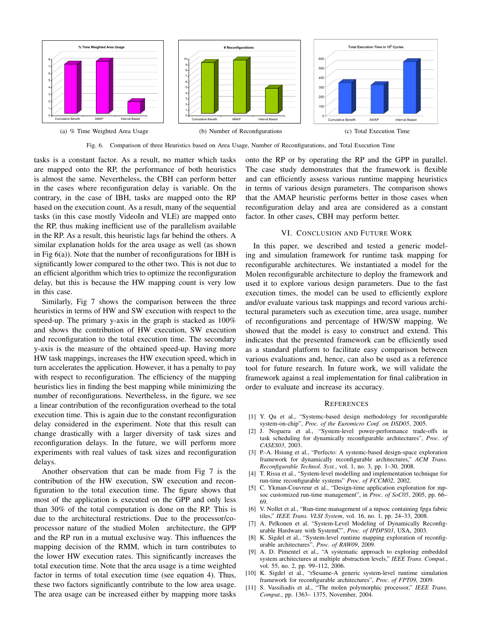

Fig. 6. Comparison of three Heuristics based on Area Usage, Number of Reconfigurations, and Total Execution Time

tasks is a constant factor. As a result, no matter which tasks are mapped onto the RP, the performance of both heuristics is almost the same. Nevertheless, the CBH can perform better in the cases where reconfiguration delay is variable. On the contrary, in the case of IBH, tasks are mapped onto the RP based on the execution count. As a result, many of the sequential tasks (in this case mostly VideoIn and VLE) are mapped onto the RP, thus making inefficient use of the parallelism available in the RP. As a result, this heuristic lags far behind the others. A similar explanation holds for the area usage as well (as shown in Fig 6(a)). Note that the number of reconfigurations for IBH is significantly lower compared to the other two. This is not due to an efficient algorithm which tries to optimize the reconfiguration delay, but this is because the HW mapping count is very low in this case.

Similarly, Fig 7 shows the comparison between the three heuristics in terms of HW and SW execution with respect to the speed-up. The primary y-axis in the graph is stacked as 100% and shows the contribution of HW execution, SW execution and reconfiguration to the total execution time. The secondary y-axis is the measure of the obtained speed-up. Having more HW task mappings, increases the HW execution speed, which in turn accelerates the application. However, it has a penalty to pay with respect to reconfiguration. The efficiency of the mapping heuristics lies in finding the best mapping while minimizing the number of reconfigurations. Nevertheless, in the figure, we see a linear contribution of the reconfiguration overhead to the total execution time. This is again due to the constant reconfiguration delay considered in the experiment. Note that this result can change drastically with a larger diversity of task sizes and reconfiguration delays. In the future, we will perform more experiments with real values of task sizes and reconfiguration delays.

Another observation that can be made from Fig 7 is the contribution of the HW execution, SW execution and reconfiguration to the total execution time. The figure shows that most of the application is executed on the GPP and only less than 30% of the total computation is done on the RP. This is due to the architectural restrictions. Due to the processor/coprocessor nature of the studied Molen architecture, the GPP and the RP run in a mutual exclusive way. This influences the mapping decision of the RMM, which in turn contributes to the lower HW execution rates. This significantly increases the total execution time. Note that the area usage is a time weighted factor in terms of total execution time (see equation 4). Thus, these two factors significantly contribute to the low area usage. The area usage can be increased either by mapping more tasks

onto the RP or by operating the RP and the GPP in parallel. The case study demonstrates that the framework is flexible and can efficiently assess various runtime mapping heuristics in terms of various design parameters. The comparison shows that the AMAP heuristic performs better in those cases when reconfiguration delay and area are considered as a constant factor. In other cases, CBH may perform better.

#### VI. CONCLUSION AND FUTURE WORK

In this paper, we described and tested a generic modeling and simulation framework for runtime task mapping for reconfigurable architectures. We instantiated a model for the Molen reconfigurable architecture to deploy the framework and used it to explore various design parameters. Due to the fast execution times, the model can be used to efficiently explore and/or evaluate various task mappings and record various architectural parameters such as execution time, area usage, number of reconfigurations and percentage of HW/SW mapping. We showed that the model is easy to construct and extend. This indicates that the presented framework can be efficiently used as a standard platform to facilitate easy comparison between various evaluations and, hence, can also be used as a reference tool for future research. In future work, we will validate the framework against a real implementation for final calibration in order to evaluate and increase its accuracy.

#### **REFERENCES**

- [1] Y. Qu et al., "Systemc-based design methodology for reconfigurable system-on-chip", *Proc. of the Euromicro Conf. on DSD05*, 2005.
- [2] J. Noguera et al., "System-level power-performance trade-offs in task scheduling for dynamically reconfigurable architectures", *Proc. of CASES03*, 2003.
- [3] P.-A. Hsiung et al., "Perfecto: A systemc-based design-space exploration framework for dynamically reconfigurable architectures," *ACM Trans. Reconfigurable Technol. Syst.*, vol. 1, no. 3, pp. 1–30, 2008.
- [4] T. Rissa et al., "System-level modelling and implementation technique for run-time reconfigurable systems" *Proc. of FCCM02*, 2002.
- [5] C. Ykman-Couvreur et al., "Design-time application exploration for mpsoc customized run-time management", in *Proc. of SoC05*, 2005, pp. 66– 69.
- [6] V. Nollet et al., "Run-time management of a mpsoc containing fpga fabric tiles," *IEEE Trans. VLSI System*, vol. 16, no. 1, pp. 24–33, 2008.
- [7] A. Pelkonen et al. "System-Level Modeling of Dynamically Reconfigurable Hardware with SystemC", *Proc. of IPDPS03*, USA, 2003.
- [8] K. Sigdel et al., "System-level runtime mapping exploration of reconfigurable architectures", *Proc. of RAW09*, 2009.
- [9] A. D. Pimentel et al., "A systematic approach to exploring embedded system architectures at multiple abstraction levels," *IEEE Trans. Comput.*, vol. 55, no. 2, pp. 99–112, 2006.
- [10] K. Sigdel et al., "rSesame-A generic system-level runtime simulation framework for reconfigurable architectures", *Proc. of FPT09*, 2009.
- [11] S. Vassiliadis et al., "The molen polymorphic processor," *IEEE Trans. Comput.*, pp. 1363– 1375, November, 2004.